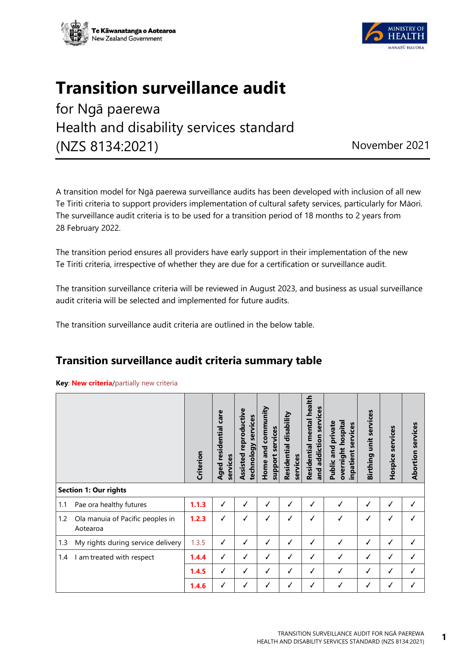



## **Transition surveillance audit**

for Ngā paerewa Health and disability services standard (NZS 8134:2021) November 2021

A transition model for Ngā paerewa surveillance audits has been developed with inclusion of all new Te Tiriti criteria to support providers implementation of cultural safety services, particularly for Māori. The surveillance audit criteria is to be used for a transition period of 18 months to 2 years from 28 February 2022.

The transition period ensures all providers have early support in their implementation of the new Te Tiriti criteria, irrespective of whether they are due for a certification or surveillance audit.

The transition surveillance criteria will be reviewed in August 2023, and business as usual surveillance audit criteria will be selected and implemented for future audits.

The transition surveillance audit criteria are outlined in the below table.

## **Transition surveillance audit criteria summary table**

## **Key**: **New criteria**/partially new criteria

|     |                                              | Criterion | Aged residential care<br>services | reproductive<br>technology services<br>Assisted | community<br>support services<br>Home and | Residential disability<br>services | Residential mental health<br>services<br>and addiction | overnight hospital<br><b>Public and private</b><br>inpatient services | unit services<br>Birthing | services<br>Hospice | services<br>Abortion |
|-----|----------------------------------------------|-----------|-----------------------------------|-------------------------------------------------|-------------------------------------------|------------------------------------|--------------------------------------------------------|-----------------------------------------------------------------------|---------------------------|---------------------|----------------------|
|     | <b>Section 1: Our rights</b>                 |           |                                   |                                                 |                                           |                                    |                                                        |                                                                       |                           |                     |                      |
| 1.1 | Pae ora healthy futures                      | 1.1.3     | ✓                                 | ✓                                               | ✓                                         | ✓                                  | ✓                                                      |                                                                       | √                         | √                   | ✓                    |
| 1.2 | Ola manuia of Pacific peoples in<br>Aotearoa | 1.2.3     | ✓                                 | ✓                                               | ✓                                         | $\checkmark$                       | ✓                                                      | ✓                                                                     | √                         | $\checkmark$        |                      |
| 1.3 | My rights during service delivery            | 1.3.5     | ✓                                 | ✓                                               | ✓                                         | ✓                                  | ✓                                                      | √                                                                     | √                         | ✓                   | ✓                    |
| 1.4 | am treated with respect                      | 1.4.4     | ✓                                 | ✓                                               | ✓                                         | ✓                                  | ✓                                                      | ✓                                                                     | ✓                         | $\checkmark$        | ✓                    |
|     |                                              | 1.4.5     | ✓                                 | ✓                                               | ✓                                         | ✓                                  | ✓                                                      | ✓                                                                     | ✓                         | ✓                   | ✓                    |
|     |                                              | 1.4.6     | ✓                                 | ✓                                               | ✓                                         | ✓                                  | ✓                                                      | J                                                                     | √                         | $\checkmark$        |                      |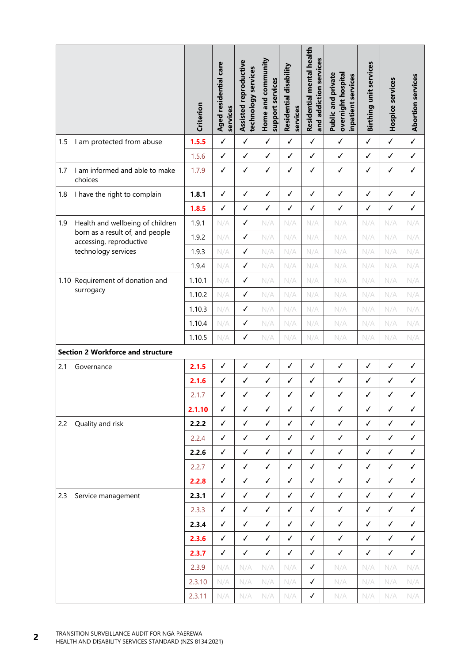|     |                                                            | Criterion | Aged residential care<br>services | Assisted reproductive<br>technology services | Home and community<br>support services | Residential disability<br>services | Residential mental health<br>and addiction services | <b>Public and private</b><br>overnight hospital<br>inpatient services | Birthing unit services | Hospice services | <b>Abortion services</b> |
|-----|------------------------------------------------------------|-----------|-----------------------------------|----------------------------------------------|----------------------------------------|------------------------------------|-----------------------------------------------------|-----------------------------------------------------------------------|------------------------|------------------|--------------------------|
| 1.5 | I am protected from abuse                                  | 1.5.5     | $\checkmark$                      | $\checkmark$                                 | $\checkmark$                           | $\checkmark$                       | $\checkmark$                                        | $\checkmark$                                                          | $\checkmark$           | $\checkmark$     | $\checkmark$             |
|     |                                                            | 1.5.6     | $\checkmark$                      | $\checkmark$                                 | $\checkmark$                           | $\checkmark$                       | $\checkmark$                                        | $\checkmark$                                                          | $\checkmark$           | ✓                | $\checkmark$             |
| 1.7 | I am informed and able to make<br>choices                  | 1.7.9     | $\checkmark$                      | $\checkmark$                                 | $\checkmark$                           | $\checkmark$                       | $\checkmark$                                        | $\checkmark$                                                          | $\checkmark$           | √                | $\checkmark$             |
| 1.8 | I have the right to complain                               | 1.8.1     | $\checkmark$                      | $\checkmark$                                 | $\checkmark$                           | ✓                                  | $\checkmark$                                        | $\checkmark$                                                          | $\checkmark$           | $\checkmark$     | $\checkmark$             |
|     |                                                            | 1.8.5     | $\checkmark$                      | $\checkmark$                                 | $\checkmark$                           | $\checkmark$                       | $\checkmark$                                        | $\checkmark$                                                          | $\checkmark$           | ✓                | $\checkmark$             |
| 1.9 | Health and wellbeing of children                           | 1.9.1     | N/A                               | $\checkmark$                                 | N/A                                    | N/A                                | N/A                                                 | N/A                                                                   | N/A                    | N/A              | N/A                      |
|     | born as a result of, and people<br>accessing, reproductive | 1.9.2     | N/A                               | $\checkmark$                                 | N/A                                    | N/A                                | N/A                                                 | N/A                                                                   | N/A                    | N/A              | N/A                      |
|     | technology services                                        | 1.9.3     | N/A                               | $\checkmark$                                 | N/A                                    | N/A                                | N/A                                                 | N/A                                                                   | N/A                    | N/A              | N/A                      |
|     |                                                            | 1.9.4     | N/A                               | $\checkmark$                                 | N/A                                    | N/A                                | N/A                                                 | N/A                                                                   | N/A                    | N/A              | N/A                      |
|     | 1.10 Requirement of donation and<br>surrogacy              | 1.10.1    | N/A                               | $\checkmark$                                 | N/A                                    | N/A                                | N/A                                                 | N/A                                                                   | N/A                    | N/A              | N/A                      |
|     |                                                            | 1.10.2    | N/A                               | $\checkmark$                                 | N/A                                    | N/A                                | N/A                                                 | N/A                                                                   | N/A                    | N/A              | N/A                      |
|     |                                                            | 1.10.3    | N/A                               | $\checkmark$                                 | N/A                                    | N/A                                | N/A                                                 | N/A                                                                   | N/A                    | N/A              | N/A                      |
|     |                                                            | 1.10.4    | N/A                               | ✓                                            | N/A                                    | N/A                                | N/A                                                 | N/A                                                                   | N/A                    | N/A              | N/A                      |
|     |                                                            | 1.10.5    | N/A                               | √                                            | N/A                                    | N/A                                | N/A                                                 | N/A                                                                   | N/A                    | N/A              | N/A                      |
|     | <b>Section 2 Workforce and structure</b>                   |           |                                   |                                              |                                        |                                    |                                                     |                                                                       |                        |                  |                          |
| 2.1 | Governance                                                 | 2.1.5     | $\checkmark$                      | ✓                                            | √                                      | √                                  | ✓                                                   | $\checkmark$                                                          | $\checkmark$           | ✓                | $\checkmark$             |
|     |                                                            | 2.1.6     | ✓                                 | $\checkmark$                                 | $\checkmark$                           | $\checkmark$                       | $\checkmark$                                        | $\checkmark$                                                          | $\checkmark$           | ✓                | $\checkmark$             |
|     |                                                            | 2.1.7     | ✓                                 | √                                            | ✓                                      | √                                  | ✓                                                   | ✓                                                                     | ✓                      | ✓                | ✓                        |
|     |                                                            |           | $\checkmark$                      | ✓                                            | $\checkmark$                           | $\checkmark$                       | ✓                                                   | $\checkmark$                                                          | $\checkmark$           | ✓                | $\checkmark$             |
|     |                                                            | 2.1.10    |                                   |                                              |                                        |                                    |                                                     |                                                                       |                        |                  |                          |
| 2.2 | Quality and risk                                           | 2.2.2     | $\checkmark$                      | $\checkmark$                                 | ✓                                      | $\checkmark$                       | ✓                                                   | $\checkmark$                                                          | $\checkmark$           | ✓                | ✓                        |
|     |                                                            | 2.2.4     | ✓                                 | $\checkmark$                                 | ✓                                      | ✓                                  | ✓                                                   | ✓                                                                     | ✓                      | ✓                | ✓                        |
|     |                                                            | 2.2.6     | ✓                                 | $\checkmark$                                 | $\checkmark$                           | $\checkmark$                       | ✓                                                   | ✓                                                                     | $\checkmark$           | ✓                | $\checkmark$             |
|     |                                                            | 2.2.7     | $\checkmark$                      | ✓                                            | ✓                                      | $\checkmark$                       | ✓                                                   | ✓                                                                     | $\checkmark$           | ✓                | $\checkmark$             |
|     |                                                            | 2.2.8     | ✓                                 | ✓                                            | $\checkmark$                           | ✓                                  | ✓                                                   | ✓                                                                     | $\checkmark$           | √                | ✓                        |
| 2.3 | Service management                                         | 2.3.1     | $\checkmark$                      | ✓                                            | ✓                                      | ✓                                  | ✓                                                   | ✓                                                                     | $\checkmark$           | ✓                | $\checkmark$             |
|     |                                                            | 2.3.3     | $\checkmark$                      | $\checkmark$                                 | ✓                                      | ✓                                  | $\checkmark$                                        | $\checkmark$                                                          | $\checkmark$           | $\checkmark$     | $\checkmark$             |
|     |                                                            | 2.3.4     | $\checkmark$                      | ✓                                            | $\checkmark$                           | $\checkmark$                       | ✓                                                   | ✓                                                                     | $\checkmark$           | ✓                | $\checkmark$             |
|     |                                                            | 2.3.6     | $\checkmark$                      | $\checkmark$                                 | $\checkmark$                           | $\checkmark$                       | $\checkmark$                                        | $\checkmark$                                                          | $\checkmark$           | $\checkmark$     | $\checkmark$             |
|     |                                                            | 2.3.7     | $\checkmark$                      | $\checkmark$                                 | $\checkmark$                           | ✓                                  | $\checkmark$                                        | ✓                                                                     | $\checkmark$           | ✓                | $\checkmark$             |
|     |                                                            | 2.3.9     | N/A                               | N/A                                          | N/A                                    | N/A                                | ✓                                                   | N/A                                                                   | N/A                    | N/A              | N/A                      |
|     |                                                            | 2.3.10    | N/A                               | N/A                                          | N/A                                    | N/A                                | ✓                                                   | N/A                                                                   | N/A                    | N/A              | N/A                      |
|     |                                                            | 2.3.11    | N/A                               | N/A                                          | N/A                                    | N/A                                | ✓                                                   | N/A                                                                   | N/A                    | N/A              | N/A                      |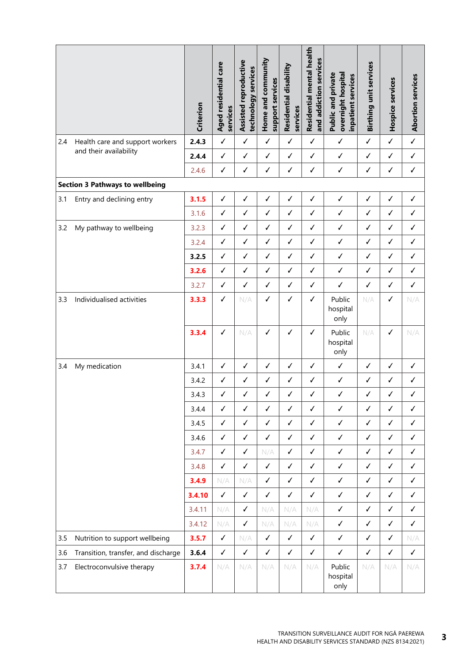|     |                                        | Criterion | Aged residential care<br>services | Assisted reproductive<br>technology services | Home and community<br>support services | Residential disability<br>services | Residential mental health<br>and addiction services | overnight hospital<br><b>Public and private</b><br>inpatient services | Birthing unit services | Hospice services | <b>Abortion services</b> |
|-----|----------------------------------------|-----------|-----------------------------------|----------------------------------------------|----------------------------------------|------------------------------------|-----------------------------------------------------|-----------------------------------------------------------------------|------------------------|------------------|--------------------------|
| 2.4 | Health care and support workers        | 2.4.3     | $\checkmark$                      | $\checkmark$                                 | $\checkmark$                           | $\checkmark$                       | $\checkmark$                                        | $\checkmark$                                                          | $\checkmark$           | $\checkmark$     | $\checkmark$             |
|     | and their availability                 | 2.4.4     | $\checkmark$                      | $\checkmark$                                 | $\checkmark$                           | $\checkmark$                       | $\checkmark$                                        | $\checkmark$                                                          | $\checkmark$           | $\checkmark$     | $\checkmark$             |
|     |                                        | 2.4.6     | $\checkmark$                      | $\checkmark$                                 | $\checkmark$                           | $\checkmark$                       | $\checkmark$                                        | ✓                                                                     | ✓                      | $\checkmark$     | $\checkmark$             |
|     | <b>Section 3 Pathways to wellbeing</b> |           |                                   |                                              |                                        |                                    |                                                     |                                                                       |                        |                  |                          |
| 3.1 | Entry and declining entry              | 3.1.5     | $\checkmark$                      | $\checkmark$                                 | $\checkmark$                           | $\checkmark$                       | $\checkmark$                                        | $\checkmark$                                                          | $\checkmark$           | $\checkmark$     | $\checkmark$             |
|     |                                        | 3.1.6     | $\checkmark$                      | $\checkmark$                                 | $\checkmark$                           | $\checkmark$                       | $\checkmark$                                        | √                                                                     | $\checkmark$           | $\checkmark$     | $\checkmark$             |
| 3.2 | My pathway to wellbeing                | 3.2.3     | ✓                                 | $\checkmark$                                 | $\checkmark$                           | $\checkmark$                       | $\checkmark$                                        | ✓                                                                     | $\checkmark$           | ✓                | $\checkmark$             |
|     |                                        | 3.2.4     | ✓                                 | $\checkmark$                                 | ✓                                      | $\checkmark$                       | ✓                                                   | $\checkmark$                                                          | ✓                      | $\checkmark$     | ✓                        |
|     |                                        | 3.2.5     | ✓                                 | $\checkmark$                                 | ✓                                      | $\checkmark$                       | $\checkmark$                                        | √                                                                     | ✓                      | ✓                | ✓                        |
|     |                                        | 3.2.6     | $\checkmark$                      | √                                            | $\checkmark$                           | $\checkmark$                       | $\checkmark$                                        | √                                                                     | ✓                      | √                | $\checkmark$             |
|     |                                        | 3.2.7     | ✓                                 | ✓                                            | $\checkmark$                           | ✓                                  | $\checkmark$                                        | ✓                                                                     | ✓                      | $\checkmark$     | ✓                        |
| 3.3 | Individualised activities              | 3.3.3     | $\checkmark$                      | N/A                                          | $\checkmark$                           | $\checkmark$                       | $\checkmark$                                        | Public<br>hospital<br>only                                            | N/A                    | √                | N/A                      |
|     |                                        | 3.3.4     | ✓                                 | N/A                                          | ✓                                      | $\checkmark$                       | $\checkmark$                                        | Public<br>hospital<br>only                                            | N/A                    | √                | N/A                      |
| 3.4 | My medication                          | 3.4.1     | $\checkmark$                      | $\checkmark$                                 | ✓                                      | $\checkmark$                       | $\checkmark$                                        | ✓                                                                     | ✓                      | √                | $\checkmark$             |
|     |                                        | 3.4.2     | $\checkmark$                      | $\checkmark$                                 | ✓                                      | $\checkmark$                       | ✓                                                   | ✓                                                                     | ✓                      | √                | $\checkmark$             |
|     |                                        | 3.4.3     | ✓                                 | ✓                                            | ✓                                      | ✓                                  | ✓                                                   | ✓                                                                     | ✓                      | √                | √                        |
|     |                                        | 3.4.4     | $\checkmark$                      | $\checkmark$                                 | $\checkmark$                           | $\checkmark$                       | $\checkmark$                                        | ✓                                                                     | $\checkmark$           | ✓                | ✓                        |
|     |                                        | 3.4.5     | $\checkmark$                      | $\checkmark$                                 | $\checkmark$                           | $\checkmark$                       | $\checkmark$                                        | ✓                                                                     | $\checkmark$           | $\checkmark$     | ✓                        |
|     |                                        | 3.4.6     | ✓                                 | $\checkmark$                                 | $\checkmark$                           | $\checkmark$                       | $\checkmark$                                        | ✓                                                                     | $\checkmark$           | ✓                | $\checkmark$             |
|     |                                        | 3.4.7     | ✓                                 | $\checkmark$                                 | N/A                                    | $\checkmark$                       | ✓                                                   | ✓                                                                     | $\checkmark$           | ✓                | $\checkmark$             |
|     |                                        | 3.4.8     | ✓                                 | $\checkmark$                                 | $\checkmark$                           | $\checkmark$                       | $\checkmark$                                        | ✓                                                                     | ✓                      | ✓                | ✓                        |
|     |                                        | 3.4.9     | N/A                               | N/A                                          | $\checkmark$                           | $\checkmark$                       | $\checkmark$                                        | $\checkmark$                                                          | ✓                      | $\checkmark$     | ✓                        |
|     |                                        | 3.4.10    | $\checkmark$                      | $\checkmark$                                 | $\checkmark$                           | $\checkmark$                       | $\checkmark$                                        | $\checkmark$                                                          | $\checkmark$           | $\checkmark$     | ✓                        |
|     |                                        | 3.4.11    | N/A                               | $\checkmark$                                 | N/A                                    | N/A                                | N/A                                                 | ✓                                                                     | $\checkmark$           | $\checkmark$     | $\checkmark$             |
|     |                                        | 3.4.12    | N/A                               | $\checkmark$                                 | N/A                                    | N/A                                | N/A                                                 | $\checkmark$                                                          | $\checkmark$           | $\checkmark$     | $\checkmark$             |
| 3.5 | Nutrition to support wellbeing         | 3.5.7     | $\checkmark$                      | N/A                                          | $\checkmark$                           | $\checkmark$                       | $\checkmark$                                        | ✓                                                                     | $\checkmark$           | $\checkmark$     | N/A                      |
| 3.6 | Transition, transfer, and discharge    | 3.6.4     | $\checkmark$                      | $\checkmark$                                 | $\checkmark$                           | $\checkmark$                       | $\checkmark$                                        | ✓                                                                     | $\checkmark$           | $\checkmark$     | $\checkmark$             |
| 3.7 | Electroconvulsive therapy              | 3.7.4     | N/A                               | N/A                                          | N/A                                    | N/A                                | N/A                                                 | Public<br>hospital<br>only                                            | N/A                    | N/A              | N/A                      |